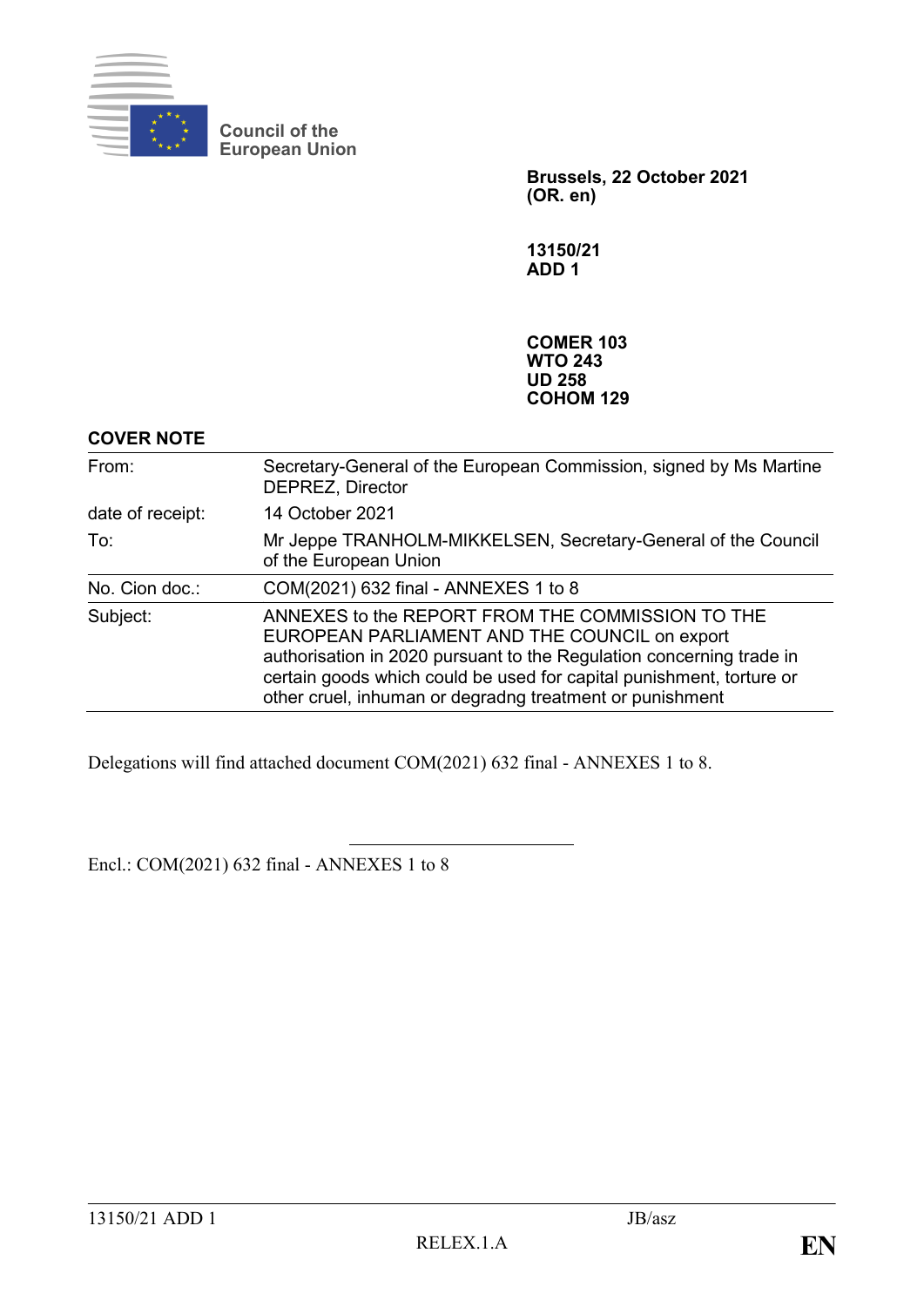

**Council of the European Union**

> **Brussels, 22 October 2021 (OR. en)**

**13150/21 ADD 1**

**COMER 103 WTO 243 UD 258 COHOM 129**

### **COVER NOTE**

| From:            | Secretary-General of the European Commission, signed by Ms Martine<br><b>DEPREZ, Director</b>                                                                                                                                                                                                                 |
|------------------|---------------------------------------------------------------------------------------------------------------------------------------------------------------------------------------------------------------------------------------------------------------------------------------------------------------|
| date of receipt: | 14 October 2021                                                                                                                                                                                                                                                                                               |
| To:              | Mr Jeppe TRANHOLM-MIKKELSEN, Secretary-General of the Council<br>of the European Union                                                                                                                                                                                                                        |
| No. Cion doc.:   | COM(2021) 632 final - ANNEXES 1 to 8                                                                                                                                                                                                                                                                          |
| Subject:         | ANNEXES to the REPORT FROM THE COMMISSION TO THE<br>EUROPEAN PARLIAMENT AND THE COUNCIL on export<br>authorisation in 2020 pursuant to the Regulation concerning trade in<br>certain goods which could be used for capital punishment, torture or<br>other cruel, inhuman or degradng treatment or punishment |

Delegations will find attached document COM(2021) 632 final - ANNEXES 1 to 8.

Encl.: COM(2021) 632 final - ANNEXES 1 to 8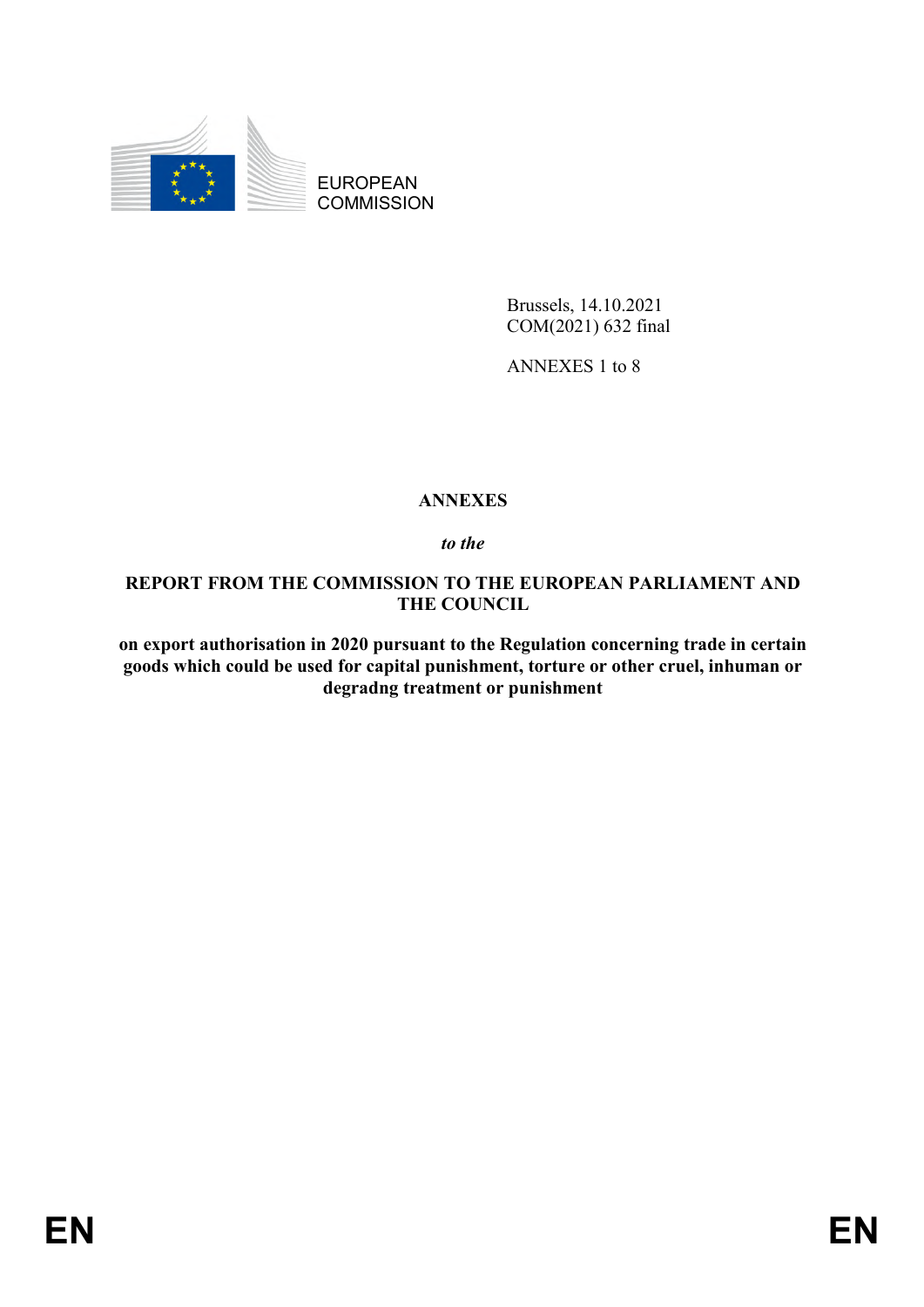

EUROPEAN **COMMISSION** 

> Brussels, 14.10.2021 COM(2021) 632 final

ANNEXES 1 to 8

# **ANNEXES**

*to the* 

**REPORT FROM THE COMMISSION TO THE EUROPEAN PARLIAMENT AND THE COUNCIL**

**on export authorisation in 2020 pursuant to the Regulation concerning trade in certain goods which could be used for capital punishment, torture or other cruel, inhuman or degradng treatment or punishment**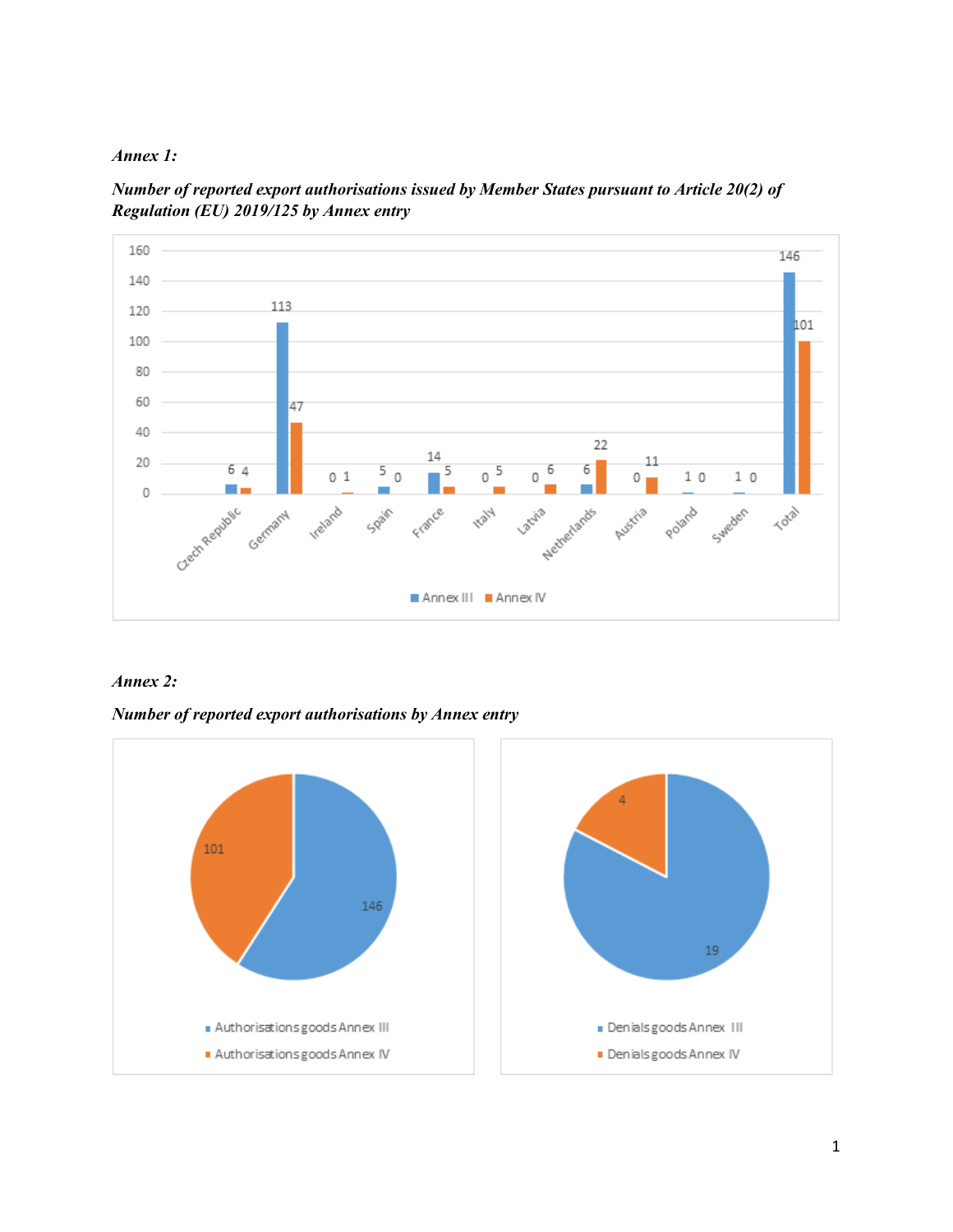

*Number of reported export authorisations issued by Member States pursuant to Article 20(2) of Regulation (EU) 2019/125 by Annex entry*



#### *Annex 2:*

*Number of reported export authorisations by Annex entry*

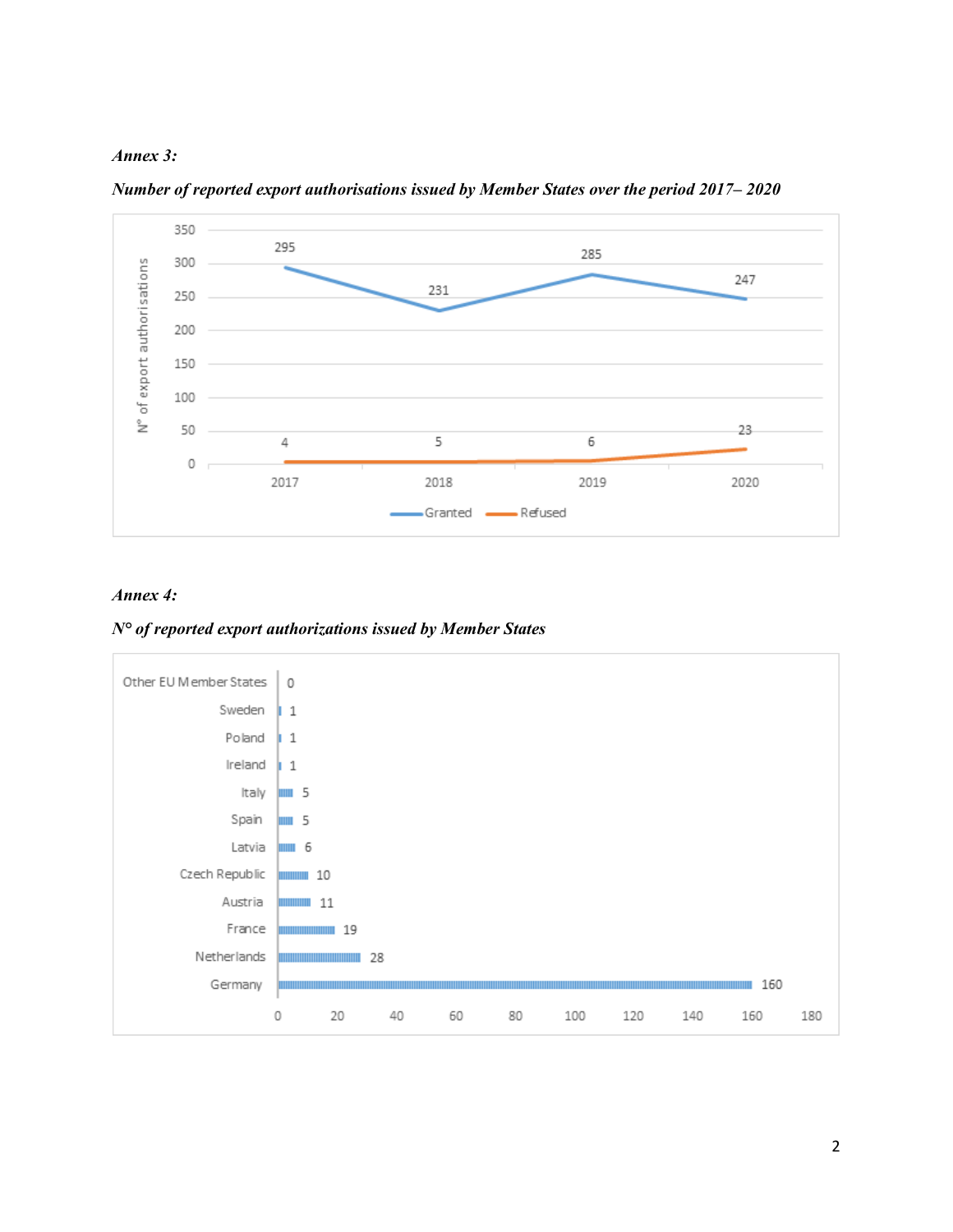



*Number of reported export authorisations issued by Member States over the period 2017– 2020*

#### *Annex 4:*

*N° of reported export authorizations issued by Member States*

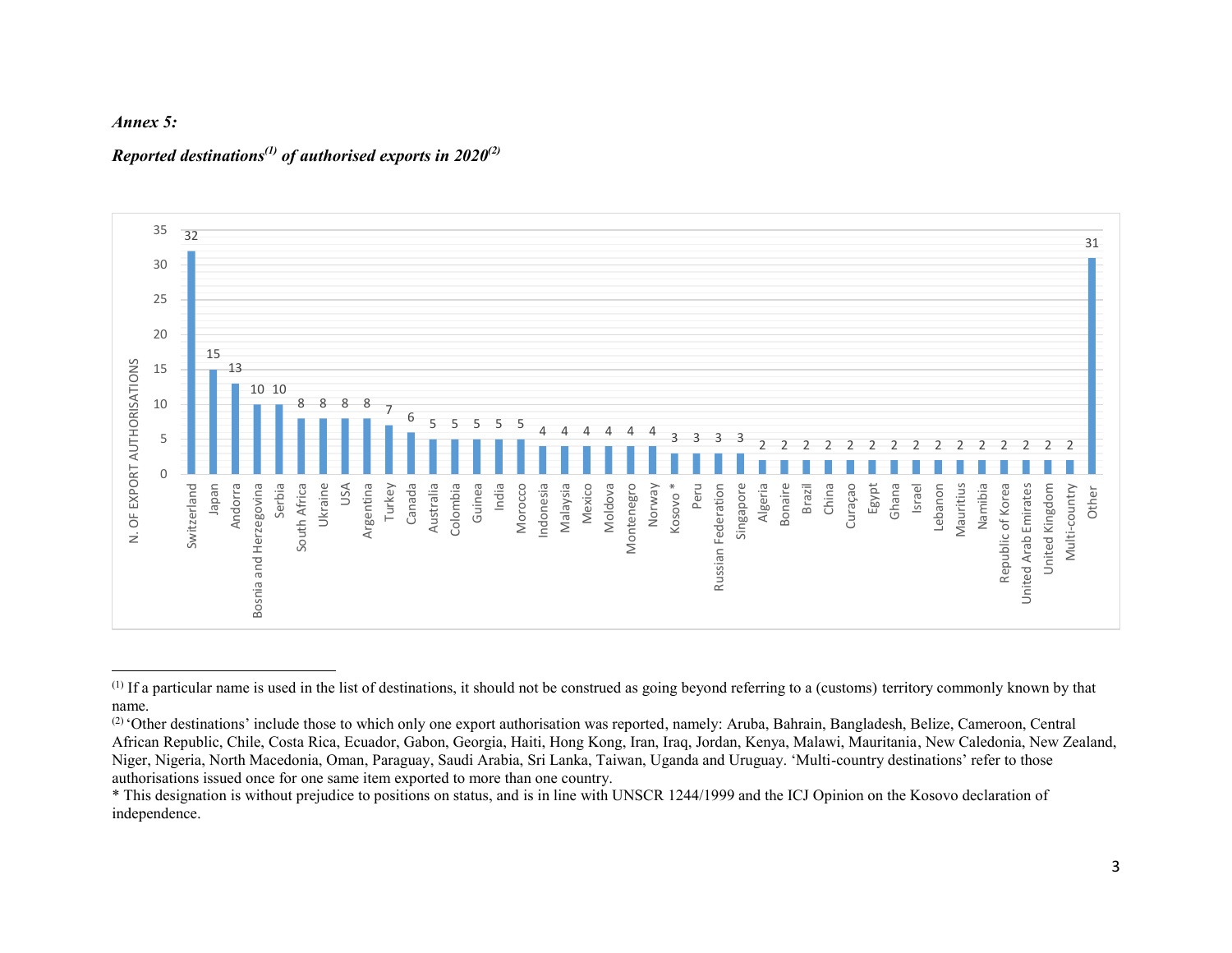

 $\overline{\phantom{a}}$ 

#### *Reported destinations(1) of authorised exports in 2020(2)*



 $<sup>(1)</sup>$  If a particular name is used in the list of destinations, it should not be construed as going beyond referring to a (customs) territory commonly known by that</sup> name.

<sup>(2)</sup> 'Other destinations' include those to which only one export authorisation was reported, namely: Aruba, Bahrain, Bangladesh, Belize, Cameroon, Central African Republic, Chile, Costa Rica, Ecuador, Gabon, Georgia, Haiti, Hong Kong, Iran, Iraq, Jordan, Kenya, Malawi, Mauritania, New Caledonia, New Zealand, Niger, Nigeria, North Macedonia, Oman, Paraguay, Saudi Arabia, Sri Lanka, Taiwan, Uganda and Uruguay. 'Multi-country destinations' refer to those authorisations issued once for one same item exported to more than one country.

<sup>\*</sup> This designation is without prejudice to positions on status, and is in line with UNSCR 1244/1999 and the ICJ Opinion on the Kosovo declaration of independence.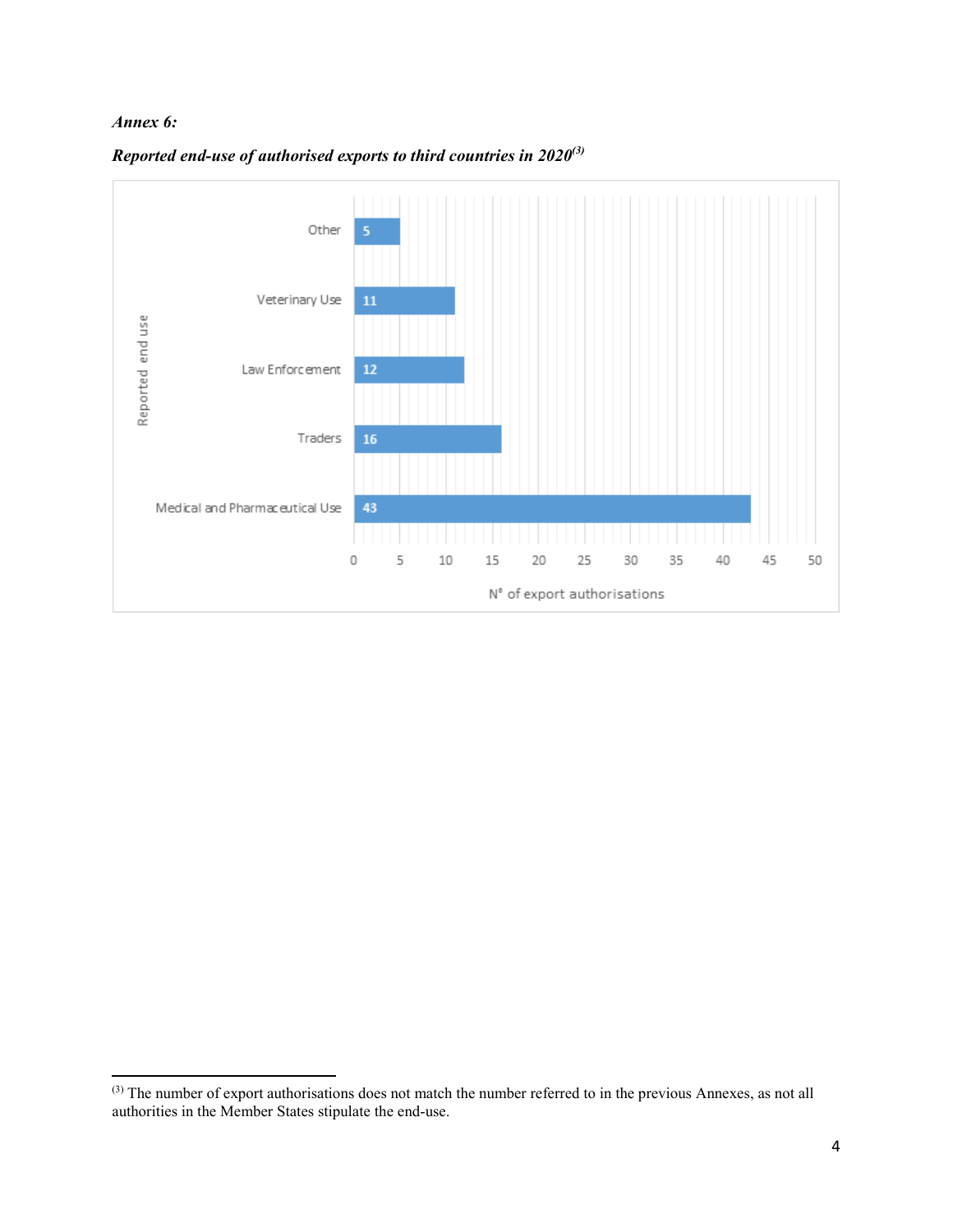#### *Annex 6:*

 $\overline{a}$ 



*Reported end-use of authorised exports to third countries in 2020(3)*

 $(3)$  The number of export authorisations does not match the number referred to in the previous Annexes, as not all authorities in the Member States stipulate the end-use.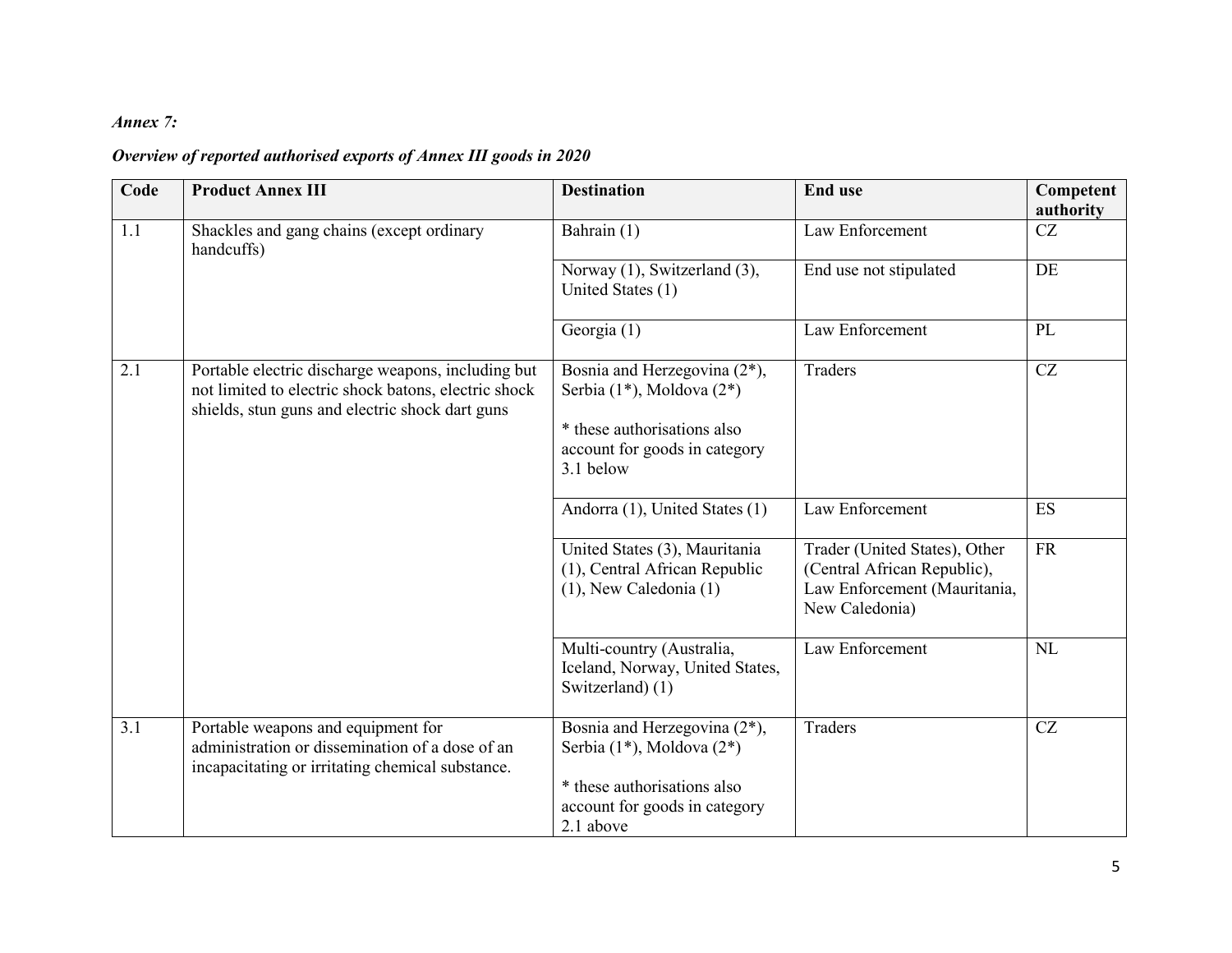### *Annex 7:*

## *Overview of reported authorised exports of Annex III goods in 2020*

| Code | <b>Product Annex III</b>                                                                                                                                      | <b>Destination</b>                                                                                                                                | <b>End use</b>                                                                                                 | Competent<br>authority |
|------|---------------------------------------------------------------------------------------------------------------------------------------------------------------|---------------------------------------------------------------------------------------------------------------------------------------------------|----------------------------------------------------------------------------------------------------------------|------------------------|
| 1.1  | Shackles and gang chains (except ordinary<br>handcuffs)                                                                                                       | Bahrain (1)                                                                                                                                       | Law Enforcement                                                                                                | CZ                     |
|      |                                                                                                                                                               | Norway (1), Switzerland (3),<br>United States (1)                                                                                                 | End use not stipulated                                                                                         | DE                     |
|      |                                                                                                                                                               | Georgia (1)                                                                                                                                       | Law Enforcement                                                                                                | PL                     |
| 2.1  | Portable electric discharge weapons, including but<br>not limited to electric shock batons, electric shock<br>shields, stun guns and electric shock dart guns | Bosnia and Herzegovina (2*),<br>Serbia (1*), Moldova (2*)<br>* these authorisations also<br>account for goods in category<br>3.1 below            | Traders                                                                                                        | CZ                     |
|      |                                                                                                                                                               | Andorra (1), United States (1)                                                                                                                    | Law Enforcement                                                                                                | ES                     |
|      |                                                                                                                                                               | United States (3), Mauritania<br>(1), Central African Republic<br>$(1)$ , New Caledonia $(1)$                                                     | Trader (United States), Other<br>(Central African Republic),<br>Law Enforcement (Mauritania,<br>New Caledonia) | <b>FR</b>              |
|      |                                                                                                                                                               | Multi-country (Australia,<br>Iceland, Norway, United States,<br>Switzerland) (1)                                                                  | Law Enforcement                                                                                                | NL                     |
| 3.1  | Portable weapons and equipment for<br>administration or dissemination of a dose of an<br>incapacitating or irritating chemical substance.                     | Bosnia and Herzegovina $(2^*)$ ,<br>Serbia $(1^*)$ , Moldova $(2^*)$<br>* these authorisations also<br>account for goods in category<br>2.1 above | Traders                                                                                                        | CZ                     |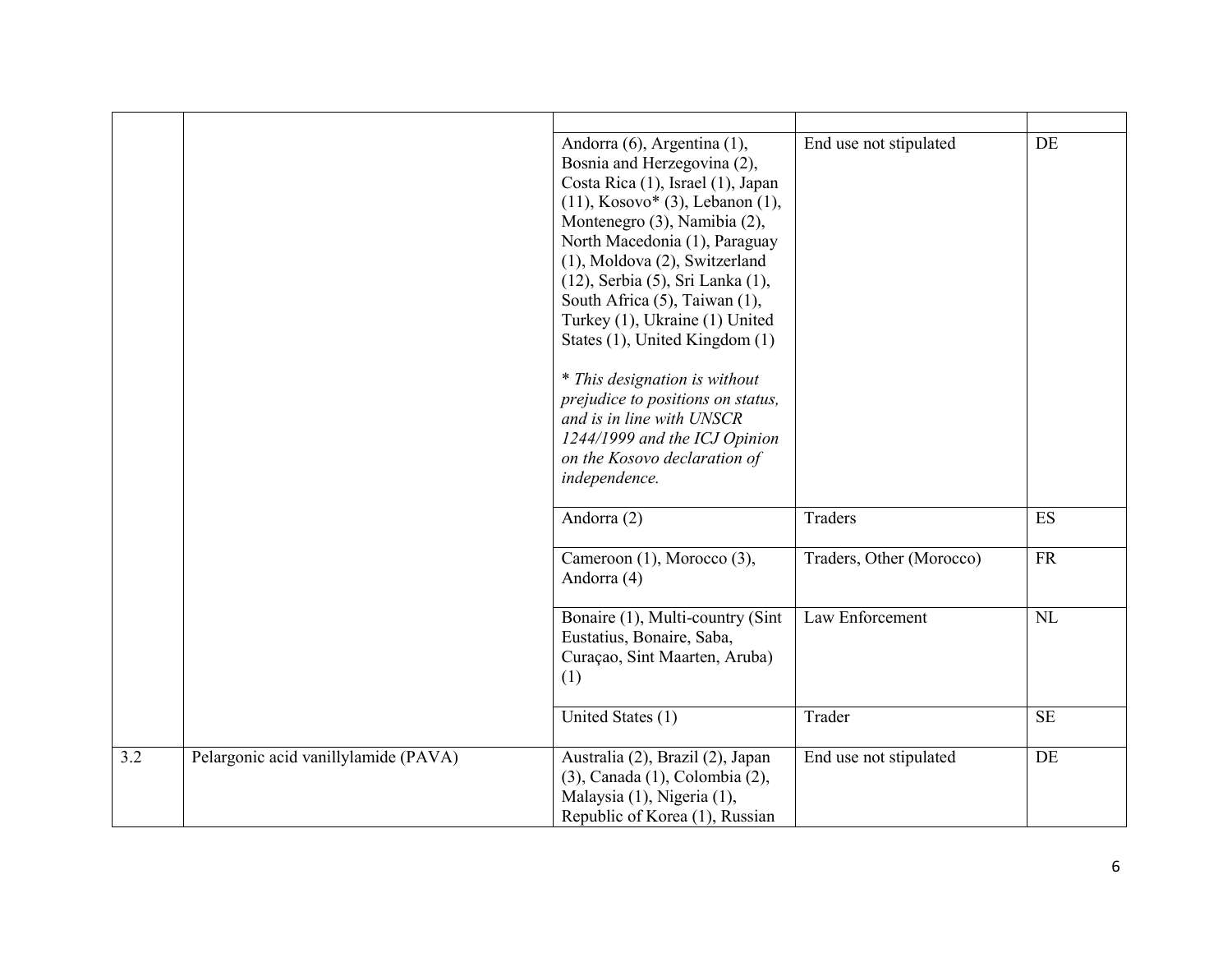|     |                                      | Andorra (6), Argentina (1),<br>Bosnia and Herzegovina (2),<br>Costa Rica (1), Israel (1), Japan<br>$(11)$ , Kosovo* $(3)$ , Lebanon $(1)$ ,<br>Montenegro (3), Namibia (2),<br>North Macedonia (1), Paraguay<br>(1), Moldova (2), Switzerland<br>(12), Serbia (5), Sri Lanka (1),<br>South Africa (5), Taiwan (1),<br>Turkey (1), Ukraine (1) United<br>States (1), United Kingdom (1)<br>* This designation is without<br>prejudice to positions on status,<br>and is in line with UNSCR<br>1244/1999 and the ICJ Opinion<br>on the Kosovo declaration of<br>independence. | End use not stipulated   | DE        |
|-----|--------------------------------------|-----------------------------------------------------------------------------------------------------------------------------------------------------------------------------------------------------------------------------------------------------------------------------------------------------------------------------------------------------------------------------------------------------------------------------------------------------------------------------------------------------------------------------------------------------------------------------|--------------------------|-----------|
|     |                                      | Andorra (2)                                                                                                                                                                                                                                                                                                                                                                                                                                                                                                                                                                 | Traders                  | ES        |
|     |                                      | Cameroon (1), Morocco (3),<br>Andorra (4)                                                                                                                                                                                                                                                                                                                                                                                                                                                                                                                                   | Traders, Other (Morocco) | FR        |
|     |                                      | Bonaire (1), Multi-country (Sint<br>Eustatius, Bonaire, Saba,<br>Curaçao, Sint Maarten, Aruba)<br>(1)                                                                                                                                                                                                                                                                                                                                                                                                                                                                       | Law Enforcement          | $\rm NL$  |
|     |                                      | United States (1)                                                                                                                                                                                                                                                                                                                                                                                                                                                                                                                                                           | Trader                   | <b>SE</b> |
| 3.2 | Pelargonic acid vanillylamide (PAVA) | Australia (2), Brazil (2), Japan<br>(3), Canada (1), Colombia (2),<br>Malaysia (1), Nigeria (1),<br>Republic of Korea (1), Russian                                                                                                                                                                                                                                                                                                                                                                                                                                          | End use not stipulated   | DE        |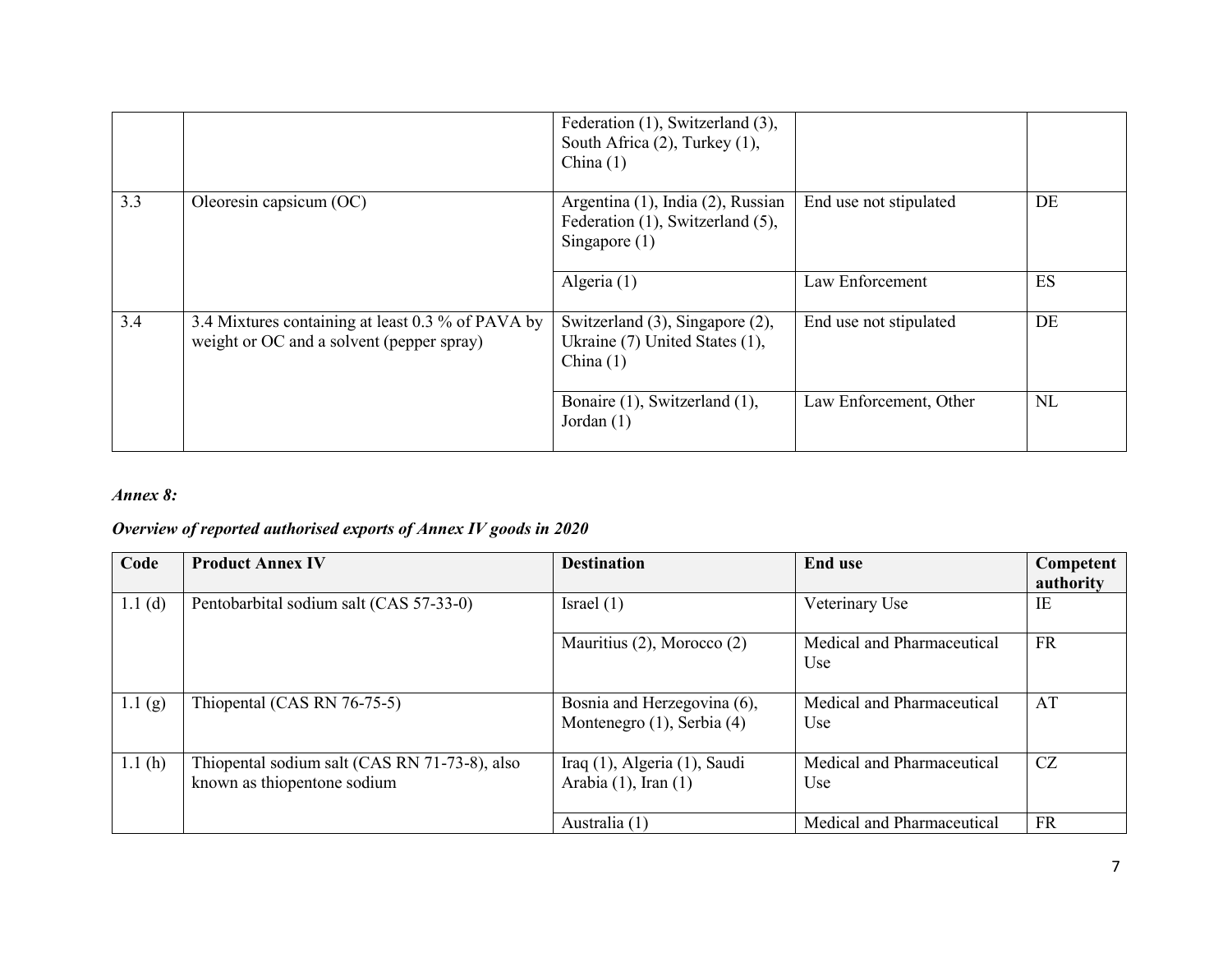|     |                                                                                                | Federation (1), Switzerland (3),<br>South Africa (2), Turkey (1),<br>China $(1)$         |                        |           |
|-----|------------------------------------------------------------------------------------------------|------------------------------------------------------------------------------------------|------------------------|-----------|
| 3.3 | Oleoresin capsicum (OC)                                                                        | Argentina (1), India (2), Russian<br>Federation (1), Switzerland (5),<br>Singapore $(1)$ | End use not stipulated | DE        |
|     |                                                                                                | Algeria (1)                                                                              | Law Enforcement        | ES        |
| 3.4 | 3.4 Mixtures containing at least 0.3 % of PAVA by<br>weight or OC and a solvent (pepper spray) | Switzerland (3), Singapore (2),<br>Ukraine (7) United States (1),<br>China $(1)$         | End use not stipulated | DE        |
|     |                                                                                                | Bonaire (1), Switzerland (1),<br>Jordan $(1)$                                            | Law Enforcement, Other | <b>NL</b> |

### *Annex 8:*

# *Overview of reported authorised exports of Annex IV goods in 2020*

| Code   | <b>Product Annex IV</b>                                                      | <b>Destination</b>                                        | <b>End use</b>                                | Competent |
|--------|------------------------------------------------------------------------------|-----------------------------------------------------------|-----------------------------------------------|-----------|
|        |                                                                              |                                                           |                                               | authority |
| 1.1(d) | Pentobarbital sodium salt (CAS 57-33-0)                                      | Israel $(1)$                                              | Veterinary Use                                | IE        |
|        |                                                                              | Mauritius (2), Morocco (2)                                | Medical and Pharmaceutical<br>U <sub>se</sub> | <b>FR</b> |
| 1.1(g) | Thiopental (CAS RN 76-75-5)                                                  | Bosnia and Herzegovina (6),<br>Montenegro (1), Serbia (4) | Medical and Pharmaceutical<br>Use             | AT        |
| 1.1(h) | Thiopental sodium salt (CAS RN 71-73-8), also<br>known as thiopentone sodium | Iraq (1), Algeria (1), Saudi<br>Arabia $(1)$ , Iran $(1)$ | Medical and Pharmaceutical<br>Use             | CZ        |
|        |                                                                              | Australia (1)                                             | Medical and Pharmaceutical                    | <b>FR</b> |